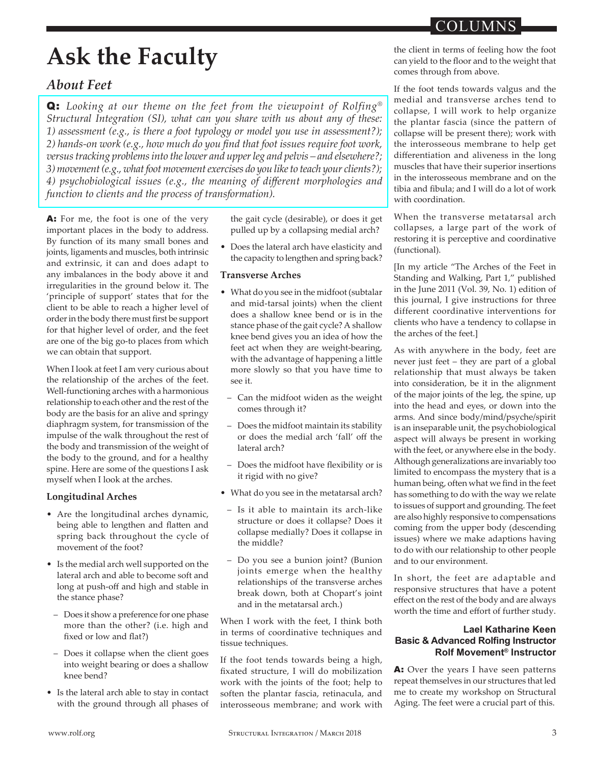# **Ask the Faculty**

## *About Feet*

Q: *Looking at our theme on the feet from the viewpoint of Rolfing® Structural Integration (SI), what can you share with us about any of these: 1) assessment (e.g., is there a foot typology or model you use in assessment?); 2) hands-on work (e.g., how much do you fnd that foot issues require foot work, versus tracking problems into the lower and upper leg and pelvis – and elsewhere?; 3) movement (e.g., what foot movement exercises do you like to teach your clients?); 4) psychobiological issues (e.g., the meaning of diferent morphologies and function to clients and the process of transformation).*

A: For me, the foot is one of the very important places in the body to address. By function of its many small bones and joints, ligaments and muscles, both intrinsic and extrinsic, it can and does adapt to any imbalances in the body above it and irregularities in the ground below it. The 'principle of support' states that for the client to be able to reach a higher level of order in the body there must first be support for that higher level of order, and the feet are one of the big go-to places from which we can obtain that support.

When I look at feet I am very curious about the relationship of the arches of the feet. Well-functioning arches with a harmonious relationship to each other and the rest of the body are the basis for an alive and springy diaphragm system, for transmission of the impulse of the walk throughout the rest of the body and transmission of the weight of the body to the ground, and for a healthy spine. Here are some of the questions I ask myself when I look at the arches.

## **Longitudinal Arches**

- Are the longitudinal arches dynamic, being able to lengthen and flatten and spring back throughout the cycle of movement of the foot?
- Is the medial arch well supported on the lateral arch and able to become soft and long at push-off and high and stable in the stance phase?
- ‒ Does it show a preference for one phase more than the other? (i.e. high and fxed or low and fat?)
- ‒ Does it collapse when the client goes into weight bearing or does a shallow knee bend?
- Is the lateral arch able to stay in contact with the ground through all phases of

the gait cycle (desirable), or does it get pulled up by a collapsing medial arch?

• Does the lateral arch have elasticity and the capacity to lengthen and spring back?

### **Transverse Arches**

- What do you see in the midfoot (subtalar and mid-tarsal joints) when the client does a shallow knee bend or is in the stance phase of the gait cycle? A shallow knee bend gives you an idea of how the feet act when they are weight-bearing, with the advantage of happening a litle more slowly so that you have time to see it.
	- ‒ Can the midfoot widen as the weight comes through it?
	- ‒ Does the midfoot maintain its stability or does the medial arch 'fall' off the lateral arch?
	- ‒ Does the midfoot have fexibility or is it rigid with no give?
- What do you see in the metatarsal arch?
- ‒ Is it able to maintain its arch-like structure or does it collapse? Does it collapse medially? Does it collapse in the middle?
- ‒ Do you see a bunion joint? (Bunion joints emerge when the healthy relationships of the transverse arches break down, both at Chopart's joint and in the metatarsal arch.)

When I work with the feet, I think both in terms of coordinative techniques and tissue techniques.

If the foot tends towards being a high, fxated structure, I will do mobilization work with the joints of the foot; help to soften the plantar fascia, retinacula, and interosseous membrane; and work with

the client in terms of feeling how the foot can yield to the foor and to the weight that comes through from above.

If the foot tends towards valgus and the medial and transverse arches tend to collapse, I will work to help organize the plantar fascia (since the pattern of collapse will be present there); work with the interosseous membrane to help get diferentiation and aliveness in the long muscles that have their superior insertions in the interosseous membrane and on the tibia and fbula; and I will do a lot of work with coordination.

When the transverse metatarsal arch collapses, a large part of the work of restoring it is perceptive and coordinative (functional).

[In my article "The Arches of the Feet in Standing and Walking, Part 1," published in the June 2011 (Vol. 39, No. 1) edition of this journal, I give instructions for three different coordinative interventions for clients who have a tendency to collapse in the arches of the feet.]

As with anywhere in the body, feet are never just feet – they are part of a global relationship that must always be taken into consideration, be it in the alignment of the major joints of the leg, the spine, up into the head and eyes, or down into the arms. And since body/mind/psyche/spirit is an inseparable unit, the psychobiological aspect will always be present in working with the feet, or anywhere else in the body. Although generalizations are invariably too limited to encompass the mystery that is a human being, often what we find in the feet has something to do with the way we relate to issues of support and grounding. The feet are also highly responsive to compensations coming from the upper body (descending issues) where we make adaptions having to do with our relationship to other people and to our environment.

In short, the feet are adaptable and responsive structures that have a potent efect on the rest of the body and are always worth the time and effort of further study.

## **Lael Katharine Keen Basic & Advanced Rolfing Instructor Rolf Movement® Instructor**

A: Over the years I have seen patterns repeat themselves in our structures that led me to create my workshop on Structural Aging. The feet were a crucial part of this.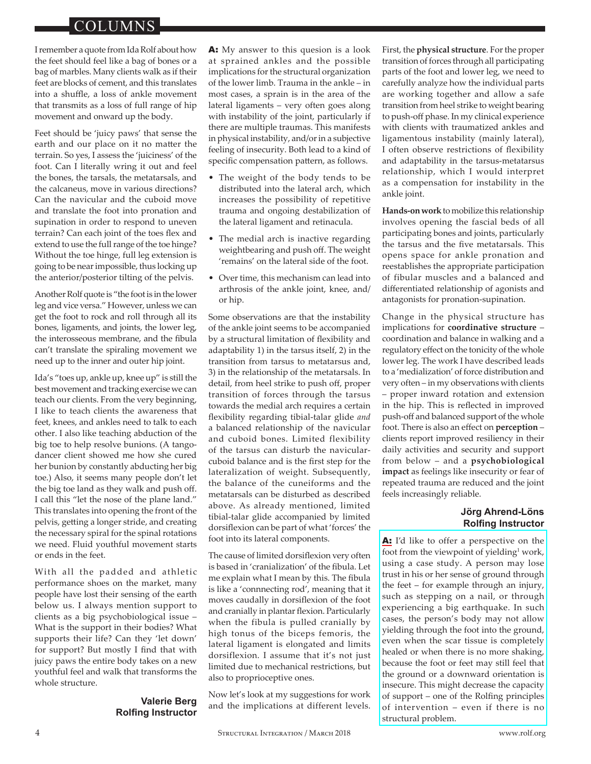I remember a quote from Ida Rolf about how the feet should feel like a bag of bones or a bag of marbles. Many clients walk as if their feet are blocks of cement, and this translates into a shuffle, a loss of ankle movement that transmits as a loss of full range of hip movement and onward up the body.

Feet should be 'juicy paws' that sense the earth and our place on it no mater the terrain. So yes, I assess the 'juiciness' of the foot. Can I literally wring it out and feel the bones, the tarsals, the metatarsals, and the calcaneus, move in various directions? Can the navicular and the cuboid move and translate the foot into pronation and supination in order to respond to uneven terrain? Can each joint of the toes flex and extend to use the full range of the toe hinge? Without the toe hinge, full leg extension is going to be near impossible, thus locking up the anterior/posterior tilting of the pelvis.

Another Rolf quote is "the foot is in the lower leg and vice versa." However, unless we can get the foot to rock and roll through all its bones, ligaments, and joints, the lower leg, the interosseous membrane, and the fibula can't translate the spiraling movement we need up to the inner and outer hip joint.

Ida's "toes up, ankle up, knee up" is still the best movement and tracking exercise we can teach our clients. From the very beginning, I like to teach clients the awareness that feet, knees, and ankles need to talk to each other. I also like teaching abduction of the big toe to help resolve bunions. (A tangodancer client showed me how she cured her bunion by constantly abducting her big toe.) Also, it seems many people don't let the big toe land as they walk and push off. I call this "let the nose of the plane land." This translates into opening the front of the pelvis, geting a longer stride, and creating the necessary spiral for the spinal rotations we need. Fluid youthful movement starts or ends in the feet.

With all the padded and athletic performance shoes on the market, many people have lost their sensing of the earth below us. I always mention support to clients as a big psychobiological issue – What is the support in their bodies? What supports their life? Can they 'let down' for support? But mostly I find that with juicy paws the entire body takes on a new youthful feel and walk that transforms the whole structure.

### **Valerie Berg Rolfng Instructor**

A: My answer to this quesion is a look at sprained ankles and the possible implications for the structural organization of the lower limb. Trauma in the ankle – in most cases, a sprain is in the area of the lateral ligaments – very often goes along with instability of the joint, particularly if there are multiple traumas. This manifests in physical instability, and/or in a subjective feeling of insecurity. Both lead to a kind of specific compensation pattern, as follows.

- The weight of the body tends to be distributed into the lateral arch, which increases the possibility of repetitive trauma and ongoing destabilization of the lateral ligament and retinacula.
- The medial arch is inactive regarding weightbearing and push off. The weight 'remains' on the lateral side of the foot.
- Over time, this mechanism can lead into arthrosis of the ankle joint, knee, and/ or hip.

Some observations are that the instability of the ankle joint seems to be accompanied by a structural limitation of fexibility and adaptability 1) in the tarsus itself, 2) in the transition from tarsus to metatarsus and, 3) in the relationship of the metatarsals. In detail, from heel strike to push off, proper transition of forces through the tarsus towards the medial arch requires a certain fexibility regarding tibial-talar glide *and* a balanced relationship of the navicular and cuboid bones. Limited flexibility of the tarsus can disturb the navicularcuboid balance and is the frst step for the lateralization of weight. Subsequently, the balance of the cuneiforms and the metatarsals can be disturbed as described above. As already mentioned, limited tibial-talar glide accompanied by limited dorsifexion can be part of what 'forces' the foot into its lateral components.

The cause of limited dorsifexion very often is based in 'cranialization' of the fbula. Let me explain what I mean by this. The fibula is like a 'connnecting rod', meaning that it moves caudally in dorsifexion of the foot and cranially in plantar fexion. Particularly when the fibula is pulled cranially by high tonus of the biceps femoris, the lateral ligament is elongated and limits dorsiflexion. I assume that it's not just limited due to mechanical restrictions, but also to proprioceptive ones.

Now let's look at my suggestions for work and the implications at different levels. First, the **physical structure**. For the proper transition of forces through all participating parts of the foot and lower leg, we need to carefully analyze how the individual parts are working together and allow a safe transition from heel strike to weight bearing to push-off phase. In my clinical experience with clients with traumatized ankles and ligamentous instability (mainly lateral), I often observe restrictions of fexibility and adaptability in the tarsus-metatarsus relationship, which I would interpret as a compensation for instability in the ankle joint.

**Hands-on work** to mobilize this relationship involves opening the fascial beds of all participating bones and joints, particularly the tarsus and the fve metatarsals. This opens space for ankle pronation and reestablishes the appropriate participation of fibular muscles and a balanced and diferentiated relationship of agonists and antagonists for pronation-supination.

Change in the physical structure has implications for **coordinative** structure coordination and balance in walking and a regulatory efect on the tonicity of the whole lower leg. The work I have described leads to a 'medialization' of force distribution and very often – in my observations with clients – proper inward rotation and extension in the hip. This is refected in improved push-off and balanced support of the whole foot. There is also an effect on **perception** – clients report improved resiliency in their daily activities and security and support from below - and a **psychobiological** impact as feelings like insecurity or fear of repeated trauma are reduced and the joint feels increasingly reliable.

## **Jörg Ahrend-Löns Rolfing Instructor**

A: I'd like to offer a perspective on the foot from the viewpoint of yielding<sup>1</sup> work, using a case study. A person may lose trust in his or her sense of ground through the feet – for example through an injury, such as stepping on a nail, or through experiencing a big earthquake. In such cases, the person's body may not allow yielding through the foot into the ground, even when the scar tissue is completely healed or when there is no more shaking, because the foot or feet may still feel that the ground or a downward orientation is insecure. This might decrease the capacity of support – one of the Rolfng principles of intervention – even if there is no structural problem.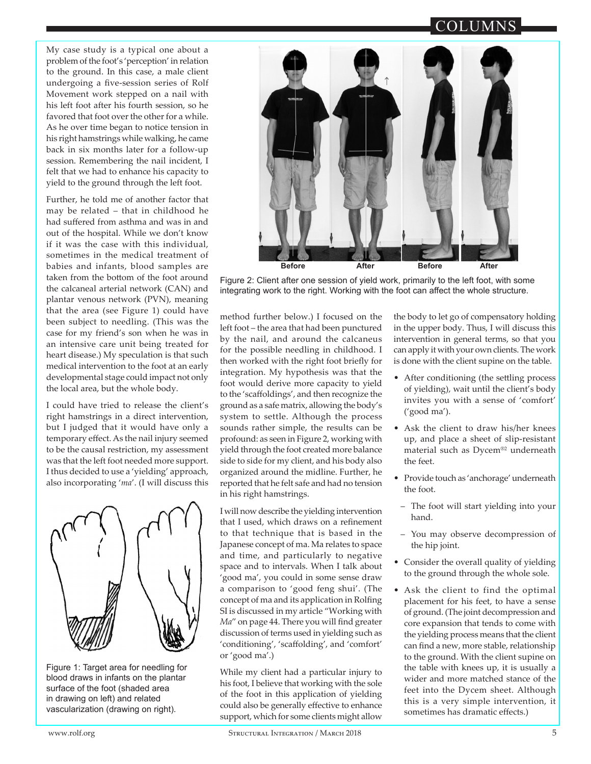My case study is a typical one about a problem of the foot's 'perception' in relation to the ground. In this case, a male client undergoing a fve-session series of Rolf Movement work stepped on a nail with his left foot after his fourth session, so he favored that foot over the other for a while. As he over time began to notice tension in his right hamstrings while walking, he came back in six months later for a follow-up session. Remembering the nail incident, I felt that we had to enhance his capacity to yield to the ground through the left foot.

Further, he told me of another factor that may be related – that in childhood he had sufered from asthma and was in and out of the hospital. While we don't know if it was the case with this individual, sometimes in the medical treatment of babies and infants, blood samples are taken from the bottom of the foot around the calcaneal arterial network (CAN) and plantar venous network (PVN), meaning that the area (see Figure 1) could have been subject to needling. (This was the case for my friend's son when he was in an intensive care unit being treated for heart disease.) My speculation is that such medical intervention to the foot at an early developmental stage could impact not only the local area, but the whole body.

I could have tried to release the client's right hamstrings in a direct intervention, but I judged that it would have only a temporary efect. As the nail injury seemed to be the causal restriction, my assessment was that the left foot needed more support. I thus decided to use a 'yielding' approach, also incorporating '*ma*'. (I will discuss this



Figure 1: Target area for needling for blood draws in infants on the plantar surface of the foot (shaded area in drawing on left) and related vascularization (drawing on right).



Figure 2: Client after one session of yield work, primarily to the left foot, with some integrating work to the right. Working with the foot can afect the whole structure.

method further below.) I focused on the left foot – the area that had been punctured by the nail, and around the calcaneus for the possible needling in childhood. I then worked with the right foot briefy for integration. My hypothesis was that the foot would derive more capacity to yield to the 'scafoldings', and then recognize the ground as a safe matrix, allowing the body's system to settle. Although the process sounds rather simple, the results can be profound: as seen in Figure 2, working with yield through the foot created more balance side to side for my client, and his body also organized around the midline. Further, he reported that he felt safe and had no tension in his right hamstrings.

I will now describe the yielding intervention that I used, which draws on a refnement to that technique that is based in the Japanese concept of ma. Ma relates to space and time, and particularly to negative space and to intervals. When I talk about 'good ma', you could in some sense draw a comparison to 'good feng shui'. (The concept of ma and its application in Rolfng SI is discussed in my article "Working with Ma" on page 44. There you will find greater discussion of terms used in yielding such as 'conditioning', 'scafolding', and 'comfort' or 'good ma'.)

While my client had a particular injury to his foot, I believe that working with the sole of the foot in this application of yielding could also be generally efective to enhance support, which for some clients might allow

the body to let go of compensatory holding in the upper body. Thus, I will discuss this intervention in general terms, so that you can apply it with your own clients. The work is done with the client supine on the table.

- After conditioning (the setling process of yielding), wait until the client's body invites you with a sense of 'comfort' ('good ma').
- Ask the client to draw his/her knees up, and place a sheet of slip-resistant material such as Dycem®2 underneath the feet.
- Provide touch as 'anchorage' underneath the foot.
- ‒ The foot will start yielding into your hand.
- ‒ You may observe decompression of the hip joint.
- Consider the overall quality of yielding to the ground through the whole sole.
- Ask the client to find the optimal placement for his feet, to have a sense of ground. (The joint decompression and core expansion that tends to come with the yielding process means that the client can fnd a new, more stable, relationship to the ground. With the client supine on the table with knees up, it is usually a wider and more matched stance of the feet into the Dycem sheet. Although this is a very simple intervention, it sometimes has dramatic efects.)